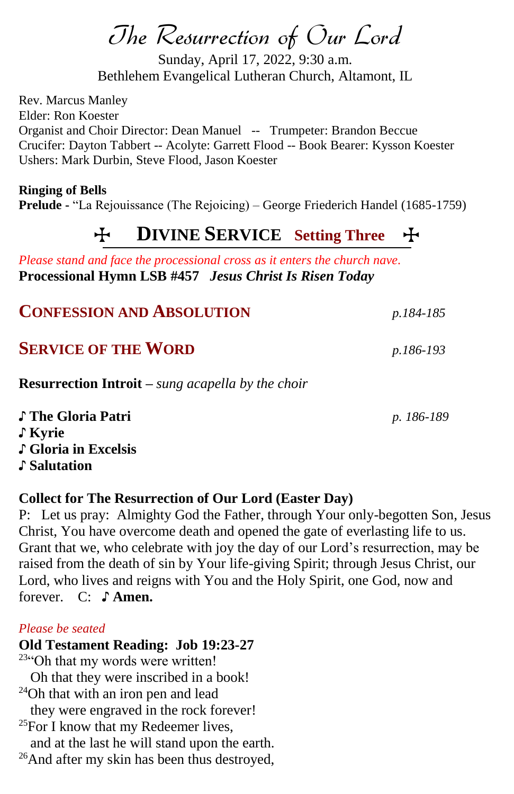# The Resurrection of Our Lord

Sunday, April 17, 2022, 9:30 a.m. Bethlehem Evangelical Lutheran Church, Altamont, IL

Rev. Marcus Manley Elder: Ron Koester Organist and Choir Director: Dean Manuel -- Trumpeter: Brandon Beccue Crucifer: Dayton Tabbert -- Acolyte: Garrett Flood -- Book Bearer: Kysson Koester Ushers: Mark Durbin, Steve Flood, Jason Koester

**Ringing of Bells**

**Prelude -** "La Rejouissance (The Rejoicing) – George Friederich Handel (1685-1759)

# T **DIVINE SERVICE Setting Three** T

*Please stand and face the processional cross as it enters the church nave.* **Processional Hymn LSB #457** *Jesus Christ Is Risen Today*

| <b>CONFESSION AND ABSOLUTION</b>                           | p.184-185  |
|------------------------------------------------------------|------------|
| <b>SERVICE OF THE WORD</b>                                 | p.186-193  |
| <b>Resurrection Introit</b> – sung acapella by the choir   |            |
| ♪ The Gloria Patri<br>$\int$ Kyrie<br>♪ Gloria in Excelsis | p. 186-189 |

## **Collect for The Resurrection of Our Lord (Easter Day)**

P: Let us pray: Almighty God the Father, through Your only-begotten Son, Jesus Christ, You have overcome death and opened the gate of everlasting life to us. Grant that we, who celebrate with joy the day of our Lord's resurrection, may be raised from the death of sin by Your life-giving Spirit; through Jesus Christ, our Lord, who lives and reigns with You and the Holy Spirit, one God, now and forever. C: ♪ **Amen.**

#### *Please be seated*

♪ **Salutation**

**Old Testament Reading: Job 19:23-27** <sup>23"</sup>Oh that my words were written! Oh that they were inscribed in a book! <sup>24</sup>Oh that with an iron pen and lead they were engraved in the rock forever!  $^{25}$ For I know that my Redeemer lives, and at the last he will stand upon the earth. <sup>26</sup>And after my skin has been thus destroyed,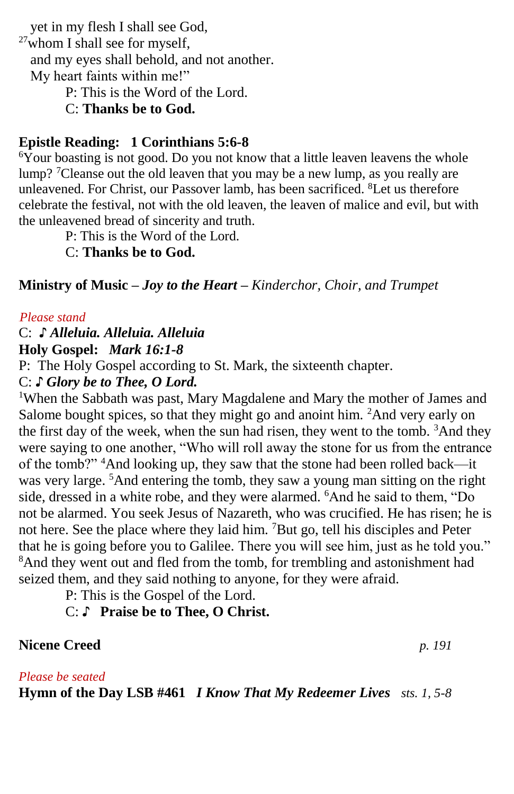yet in my flesh I shall see God,  $27$ whom I shall see for myself, and my eyes shall behold, and not another. My heart faints within me!"

P: This is the Word of the Lord.

C: **Thanks be to God.**

#### **Epistle Reading:****1 Corinthians 5:6-8**

<sup>6</sup>Your boasting is not good. Do you not know that a little leaven leavens the whole lump? <sup>7</sup>Cleanse out the old leaven that you may be a new lump, as you really are unleavened. For Christ, our Passover lamb, has been sacrificed. <sup>8</sup>Let us therefore celebrate the festival, not with the old leaven, the leaven of malice and evil, but with the unleavened bread of sincerity and truth.

P: This is the Word of the Lord.

C: **Thanks be to God.**

**Ministry of Music –** *Joy to the Heart – Kinderchor, Choir, and Trumpet*

#### *.Please stand*

## C: *♪ Alleluia. Alleluia. Alleluia*

### **Holy Gospel:** *Mark 16:1-8*

P: The Holy Gospel according to St. Mark, the sixteenth chapter.

# C: *♪ Glory be to Thee, O Lord.*

<sup>1</sup>When the Sabbath was past, Mary Magdalene and Mary the mother of James and Salome bought spices, so that they might go and anoint him. <sup>2</sup>And very early on the first day of the week, when the sun had risen, they went to the tomb. <sup>3</sup>And they were saying to one another, "Who will roll away the stone for us from the entrance of the tomb?" <sup>4</sup>And looking up, they saw that the stone had been rolled back—it was very large. <sup>5</sup>And entering the tomb, they saw a young man sitting on the right side, dressed in a white robe, and they were alarmed. <sup>6</sup>And he said to them, "Do not be alarmed. You seek Jesus of Nazareth, who was crucified. He has risen; he is not here. See the place where they laid him. <sup>7</sup>But go, tell his disciples and Peter that he is going before you to Galilee. There you will see him, just as he told you." <sup>8</sup>And they went out and fled from the tomb, for trembling and astonishment had seized them, and they said nothing to anyone, for they were afraid.

P: This is the Gospel of the Lord.

# C: ♪ **Praise be to Thee, O Christ.**

# **Nicene Creed** *p. 191*

#### *Please be seated*

**Hymn of the Day LSB #461** *I Know That My Redeemer Lives sts. 1, 5-8*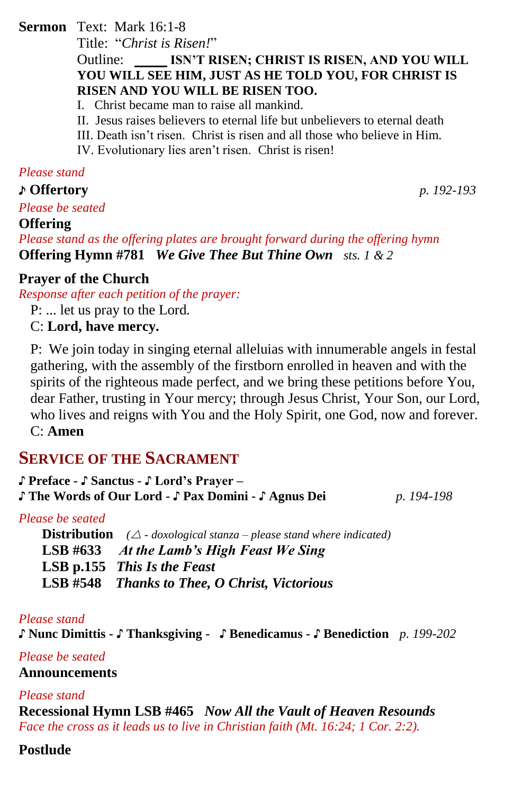#### **Sermon** Text: Mark 16:1-8

Title: "*Christ is Risen!*"

#### Outline: **ISN'T RISEN; CHRIST IS RISEN, AND YOU WILL YOU WILL SEE HIM, JUST AS HE TOLD YOU, FOR CHRIST IS RISEN AND YOU WILL BE RISEN TOO.**

- I. Christ became man to raise all mankind.
- II. Jesus raises believers to eternal life but unbelievers to eternal death
- III. Death isn't risen. Christ is risen and all those who believe in Him.
- IV. Evolutionary lies aren't risen. Christ is risen!

#### *Please stand*

♪ **Offertory** *p. 192-193*

*Please be seated*

#### **Offering**

*Please stand as the offering plates are brought forward during the offering hymn* **Offering Hymn #781** *We Give Thee But Thine Own sts. 1 & 2*

#### **Prayer of the Church**

*Response after each petition of the prayer:* P: ... let us pray to the Lord.

C: **Lord, have mercy.**

P: We join today in singing eternal alleluias with innumerable angels in festal gathering, with the assembly of the firstborn enrolled in heaven and with the spirits of the righteous made perfect, and we bring these petitions before You, dear Father, trusting in Your mercy; through Jesus Christ, Your Son, our Lord, who lives and reigns with You and the Holy Spirit, one God, now and forever. C: **Amen**

# **SERVICE OF THE SACRAMENT**

| J Preface - J Sanctus - J Lord's Prayer –               |            |
|---------------------------------------------------------|------------|
| J' The Words of Our Lord - J' Pax Domini - J' Agnus Dei | p. 194-198 |

#### *Please be seated*

**Distribution**  $(\triangle - d\alpha x \text{ological stanza} - \text{please stand where indicated})$ **LSB #633** *At the Lamb's High Feast We Sing* **LSB p.155** *This Is the Feast* **LSB #548** *Thanks to Thee, O Christ, Victorious*

#### *Please stand*

♪ **Nunc Dimittis -** ♪ **Thanksgiving -** ♪ **Benedicamus -** ♪ **Benediction** *p. 199-202*

#### *Please be seated*

#### **Announcements**

#### *Please stand*

**Recessional Hymn LSB #465** *Now All the Vault of Heaven Resounds Face the cross as it leads us to live in Christian faith (Mt. 16:24; 1 Cor. 2:2).*

#### **Postlude**